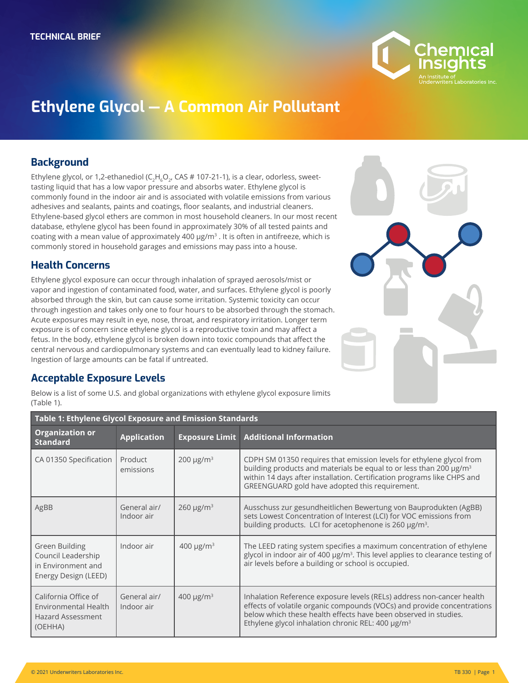

# **Ethylene Glycol — A Common Air Pollutant**

#### **Background**

Ethylene glycol, or 1,2-ethanediol ( $C_2H_6O_2$ , CAS # 107-21-1), is a clear, odorless, sweettasting liquid that has a low vapor pressure and absorbs water. Ethylene glycol is commonly found in the indoor air and is associated with volatile emissions from various adhesives and sealants, paints and coatings, floor sealants, and industrial cleaners. Ethylene-based glycol ethers are common in most household cleaners. In our most recent database, ethylene glycol has been found in approximately 30% of all tested paints and coating with a mean value of approximately 400  $\mu$ g/m<sup>3</sup>. It is often in antifreeze, which is commonly stored in household garages and emissions may pass into a house.

## **Health Concerns**

Ethylene glycol exposure can occur through inhalation of sprayed aerosols/mist or vapor and ingestion of contaminated food, water, and surfaces. Ethylene glycol is poorly absorbed through the skin, but can cause some irritation. Systemic toxicity can occur through ingestion and takes only one to four hours to be absorbed through the stomach. Acute exposures may result in eye, nose, throat, and respiratory irritation. Longer term exposure is of concern since ethylene glycol is a reproductive toxin and may affect a fetus. In the body, ethylene glycol is broken down into toxic compounds that affect the central nervous and cardiopulmonary systems and can eventually lead to kidney failure. Ingestion of large amounts can be fatal if untreated.

## **Acceptable Exposure Levels**

Below is a list of some U.S. and global organizations with ethylene glycol exposure limits (Table 1).

| Table 1: Ethylene Glycol Exposure and Emission Standards                            |                            |                            |                                                                                                                                                                                                                                                                                           |  |
|-------------------------------------------------------------------------------------|----------------------------|----------------------------|-------------------------------------------------------------------------------------------------------------------------------------------------------------------------------------------------------------------------------------------------------------------------------------------|--|
| <b>Organization or</b><br><b>Standard</b>                                           | <b>Application</b>         |                            | <b>Exposure Limit   Additional Information</b>                                                                                                                                                                                                                                            |  |
| CA 01350 Specification                                                              | Product<br>emissions       | $200 \mu g/m^3$            | CDPH SM 01350 requires that emission levels for ethylene glycol from<br>building products and materials be equal to or less than 200 µg/m <sup>3</sup><br>within 14 days after installation. Certification programs like CHPS and<br>GREENGUARD gold have adopted this requirement.       |  |
| AgBB                                                                                | General air/<br>Indoor air | $260 \mu g/m3$             | Ausschuss zur gesundheitlichen Bewertung von Bauprodukten (AgBB)<br>sets Lowest Concentration of Interest (LCI) for VOC emissions from<br>building products. LCI for acetophenone is 260 µg/m <sup>3</sup> .                                                                              |  |
| Green Building<br>Council Leadership<br>in Environment and<br>Energy Design (LEED)  | Indoor air                 | 400 $\mu$ g/m <sup>3</sup> | The LEED rating system specifies a maximum concentration of ethylene<br>glycol in indoor air of 400 µg/m <sup>3</sup> . This level applies to clearance testing of<br>air levels before a building or school is occupied.                                                                 |  |
| California Office of<br>Environmental Health<br><b>Hazard Assessment</b><br>(OEHHA) | General air/<br>Indoor air | 400 $\mu$ g/m <sup>3</sup> | Inhalation Reference exposure levels (RELs) address non-cancer health<br>effects of volatile organic compounds (VOCs) and provide concentrations<br>below which these health effects have been observed in studies.<br>Ethylene glycol inhalation chronic REL: 400 $\mu$ g/m <sup>3</sup> |  |